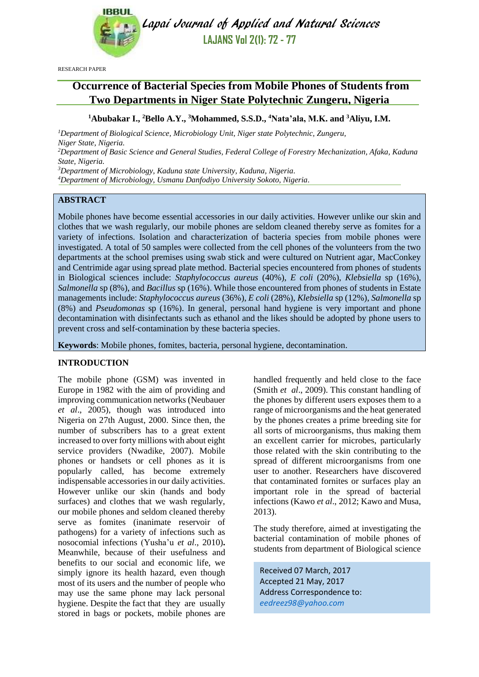

Lapai Journal of Applied and Natural Sciences **LAJANS Vol 2(1): 72 - 77**

RESEARCH PAPER

# **Occurrence of Bacterial Species from Mobile Phones of Students from Two Departments in Niger State Polytechnic Zungeru, Nigeria**

**<sup>1</sup>Abubakar I., <sup>2</sup>Bello A.Y., <sup>3</sup>Mohammed, S.S.D., <sup>4</sup>Nata'ala, M.K. and <sup>3</sup>Aliyu, I.M.**

*<sup>1</sup>Department of Biological Science, Microbiology Unit, Niger state Polytechnic, Zungeru, Niger State, Nigeria. <sup>2</sup>Department of Basic Science and General Studies, Federal College of Forestry Mechanization, Afaka, Kaduna State, Nigeria.*

*<sup>3</sup>Department of Microbiology, Kaduna state University, Kaduna, Nigeria.*

*<sup>4</sup>Department of Microbiology, Usmanu Danfodiyo University Sokoto, Nigeria.*

## **ABSTRACT**

Mobile phones have become essential accessories in our daily activities. However unlike our skin and clothes that we wash regularly, our mobile phones are seldom cleaned thereby serve as fomites for a variety of infections. Isolation and characterization of bacteria species from mobile phones were investigated. A total of 50 samples were collected from the cell phones of the volunteers from the two departments at the school premises using swab stick and were cultured on Nutrient agar, MacConkey and Centrimide agar using spread plate method. Bacterial species encountered from phones of students in Biological sciences include: *Staphylococcus aureus* (40%), *E coli* (20%), *Klebsiella* sp (16%), *Salmonella* sp (8%), and *Bacillus* sp (16%). While those encountered from phones of students in Estate managements include: *Staphylococcus aureus* (36%), *E coli* (28%), *Klebsiella* sp (12%), *Salmonella* sp (8%) and *Pseudomonas* sp (16%). In general, personal hand hygiene is very important and phone decontamination with disinfectants such as ethanol and the likes should be adopted by phone users to prevent cross and self-contamination by these bacteria species.

**Keywords**: Mobile phones, fomites, bacteria, personal hygiene, decontamination.

#### **INTRODUCTION**

The mobile phone (GSM) was invented in Europe in 1982 with the aim of providing and improving communication networks (Neubauer *et al*., 2005), though was introduced into Nigeria on 27th August, 2000. Since then, the number of subscribers has to a great extent increased to over forty millions with about eight service providers (Nwadike, 2007). Mobile phones or handsets or cell phones as it is popularly called, has become extremely indispensable accessories in our daily activities. However unlike our skin (hands and body surfaces) and clothes that we wash regularly, our mobile phones and seldom cleaned thereby serve as fomites (inanimate reservoir of pathogens) for a variety of infections such as nosocomial infections (Yusha'u *et al*., 2010)**.**  Meanwhile, because of their usefulness and benefits to our social and economic life, we simply ignore its health hazard, even though most of its users and the number of people who may use the same phone may lack personal hygiene. Despite the fact that they are usually stored in bags or pockets, mobile phones are handled frequently and held close to the face (Smith *et al*., 2009). This constant handling of the phones by different users exposes them to a range of microorganisms and the heat generated by the phones creates a prime breeding site for all sorts of microorganisms, thus making them an excellent carrier for microbes, particularly those related with the skin contributing to the spread of different microorganisms from one user to another. Researchers have discovered that contaminated fornites or surfaces play an important role in the spread of bacterial infections (Kawo *et al*., 2012; Kawo and Musa, 2013).

The study therefore, aimed at investigating the bacterial contamination of mobile phones of students from department of Biological science

Received 07 March, 2017 Accepted 21 May, 2017 Address Correspondence to: *[eedreez98@yahoo.com](mailto:eedreez98@yahoo.com)*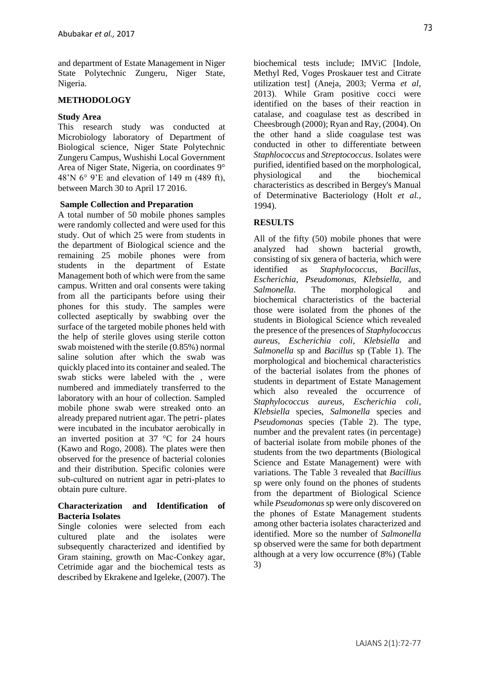and department of Estate Management in Niger State Polytechnic Zungeru, Niger State, Nigeria.

## **METHODOLOGY**

#### **Study Area**

This research study was conducted at Microbiology laboratory of Department of Biological science, Niger State Polytechnic Zungeru Campus, Wushishi Local Government Area of Niger State, Nigeria, on coordinates 9° 48'N 6° 9'E and elevation of 149 m (489 ft), between March 30 to April 17 2016.

## **Sample Collection and Preparation**

A total number of 50 mobile phones samples were randomly collected and were used for this study. Out of which 25 were from students in the department of Biological science and the remaining 25 mobile phones were from students in the department of Estate Management both of which were from the same campus. Written and oral consents were taking from all the participants before using their phones for this study. The samples were collected aseptically by swabbing over the surface of the targeted mobile phones held with the help of sterile gloves using sterile cotton swab moistened with the sterile (0.85%) normal saline solution after which the swab was quickly placed into its container and sealed. The swab sticks were labeled with the , were numbered and immediately transferred to the laboratory with an hour of collection. Sampled mobile phone swab were streaked onto an already prepared nutrient agar. The petri- plates were incubated in the incubator aerobically in an inverted position at 37 °C for 24 hours (Kawo and Rogo, 2008). The plates were then observed for the presence of bacterial colonies and their distribution. Specific colonies were sub‐cultured on nutrient agar in petri‐plates to obtain pure culture.

## **Characterization and Identification of Bacteria Isolates**

Single colonies were selected from each cultured plate and the isolates were subsequently characterized and identified by Gram staining, growth on Mac‐Conkey agar, Cetrimide agar and the biochemical tests as described by Ekrakene and Igeleke, (2007). The

biochemical tests include; IMViC [Indole, Methyl Red, Voges Proskauer test and Citrate utilization test] (Aneja, 2003; Verma *et al*, 2013). While Gram positive cocci were identified on the bases of their reaction in catalase, and coagulase test as described in Cheesbrough (2000); Ryan and Ray, (2004). On the other hand a slide coagulase test was conducted in other to differentiate between *Staphlococcus* and *Streptococcus*. Isolates were purified, identified based on the morphological, physiological and the biochemical characteristics as described in Bergey's Manual of Determinative Bacteriology (Holt *et al.,*  1994).

## **RESULTS**

All of the fifty (50) mobile phones that were analyzed had shown bacterial growth, consisting of six genera of bacteria, which were identified as *Staphylococcus, Bacillus*, *Escherichia, Pseudomonas, Klebsiella*, and *Salmonella*. The morphological and biochemical characteristics of the bacterial those were isolated from the phones of the students in Biological Science which revealed the presence of the presences of *Staphylococcus aureus, Escherichia coli*, *Klebsiella* and *Salmonella* sp and *Bacillus* sp (Table 1). The morphological and biochemical characteristics of the bacterial isolates from the phones of students in department of Estate Management which also revealed the occurrence of *Staphylococcus aureus, Escherichia coli*, *Klebsiella* species, *Salmonella* species and *Pseudomonas* species (Table 2). The type, number and the prevalent rates (in percentage) of bacterial isolate from mobile phones of the students from the two departments (Biological Science and Estate Management) were with variations. The Table 3 revealed that *Bacillius* sp were only found on the phones of students from the department of Biological Science while *Pseudomonas* sp were only discovered on the phones of Estate Management students among other bacteria isolates characterized and identified. More so the number of *Salmonella* sp observed were the same for both department although at a very low occurrence (8%) (Table 3)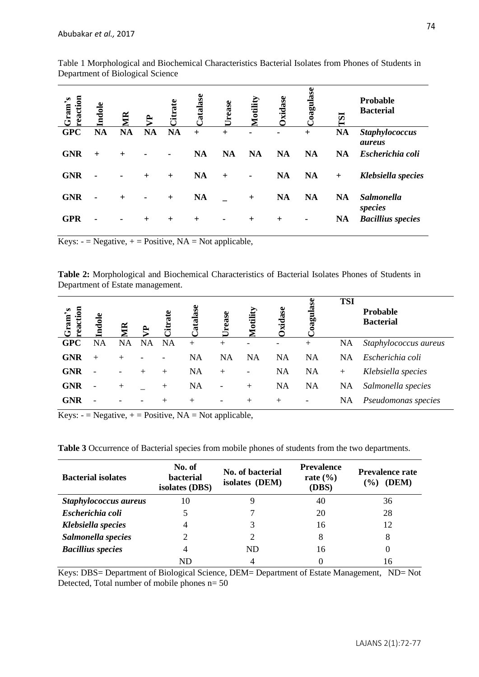| reaction<br>Gram's | Indole    | $\mathbb R$ | <b>A</b>  | <b>litrate</b> | Catalase  | Urease    | <b>Totility</b> | xidase         | <b>Coagulase</b> | ESI       | Probable<br><b>Bacterial</b>    |
|--------------------|-----------|-------------|-----------|----------------|-----------|-----------|-----------------|----------------|------------------|-----------|---------------------------------|
| <b>GPC</b>         | <b>NA</b> | <b>NA</b>   | <b>NA</b> | <b>NA</b>      | $+$       | $^{+}$    |                 | $\blacksquare$ | $+$              | <b>NA</b> | <b>Staphylococcus</b><br>aureus |
| <b>GNR</b>         | $+$       | $^{+}$      |           | ۰              | <b>NA</b> | <b>NA</b> | <b>NA</b>       | <b>NA</b>      | <b>NA</b>        | <b>NA</b> | Escherichia coli                |
| <b>GNR</b>         |           | ۰           | $^{+}$    | $+$            | <b>NA</b> | $+$       | $\blacksquare$  | <b>NA</b>      | <b>NA</b>        | $+$       | Klebsiella species              |
| <b>GNR</b>         | ۰         | $^{+}$      | ۰         | $+$            | <b>NA</b> |           | $+$             | <b>NA</b>      | <b>NA</b>        | <b>NA</b> | <b>Salmonella</b><br>species    |
| <b>GPR</b>         |           | ۰           | $^{+}$    | $^{+}$         | $^{+}$    | ۰         | $^{+}$          | $\ddot{}$      |                  | <b>NA</b> | <b>Bacillius</b> species        |

Table 1 Morphological and Biochemical Characteristics Bacterial Isolates from Phones of Students in Department of Biological Science

Keys:  $-$  = Negative,  $+$  = Positive, NA = Not applicable,

**Table 2:** Morphological and Biochemical Characteristics of Bacterial Isolates Phones of Students in Department of Estate management.

| reaction<br>s<br>ົ<br>Gram <sup>-</sup> | dole                         | $\mathbb R$ |           | <b>litrate</b> | atalase   | ease<br>$\tilde{E}$      | <b><i>Aotility</i></b> | xidase    | oagulase                 | <b>TSI</b> | <b>Probable</b><br><b>Bacterial</b> |
|-----------------------------------------|------------------------------|-------------|-----------|----------------|-----------|--------------------------|------------------------|-----------|--------------------------|------------|-------------------------------------|
| <b>GPC</b>                              | NA                           | NA          | <b>NA</b> | <b>NA</b>      | $^{+}$    | $\mathrm{+}$             |                        |           | $^{+}$                   | <b>NA</b>  | Staphylococcus aureus               |
| <b>GNR</b>                              | $^{+}$                       | $^{+}$      |           |                | <b>NA</b> | <b>NA</b>                | <b>NA</b>              | <b>NA</b> | <b>NA</b>                | <b>NA</b>  | Escherichia coli                    |
| <b>GNR</b>                              |                              |             | $^{+}$    | $+$            | <b>NA</b> | $+$                      |                        | <b>NA</b> | <b>NA</b>                | $^{+}$     | Klebsiella species                  |
| <b>GNR</b>                              | $\qquad \qquad \blacksquare$ | $^{+}$      |           | $\pm$          | <b>NA</b> | $\overline{\phantom{a}}$ | $^{+}$                 | <b>NA</b> | <b>NA</b>                | <b>NA</b>  | Salmonella species                  |
| <b>GNR</b>                              |                              |             |           | $\mathrm{+}$   | $^{+}$    | $\overline{\phantom{a}}$ | $^{+}$                 | $+$       | $\overline{\phantom{0}}$ | NA         | Pseudomonas species                 |

Keys:  $-$  = Negative,  $+$  = Positive, NA = Not applicable,

**Table 3** Occurrence of Bacterial species from mobile phones of students from the two departments.

| <b>Bacterial isolates</b> | No. of<br>bacterial<br>isolates (DBS) | No. of bacterial<br>isolates (DEM) | <b>Prevalence</b><br>rate $(\% )$<br>(DBS) | <b>Prevalence rate</b><br>(DEM)<br>$($ % $)$ |
|---------------------------|---------------------------------------|------------------------------------|--------------------------------------------|----------------------------------------------|
| Staphylococcus aureus     | 10                                    |                                    | 40                                         | 36                                           |
| Escherichia coli          |                                       |                                    | 20                                         | 28                                           |
| Klebsiella species        | 4                                     |                                    | 16                                         | 12                                           |
| Salmonella species        |                                       |                                    | 8                                          | 8                                            |
| <b>Bacillius</b> species  |                                       | ND                                 | 16                                         | 0                                            |
|                           | ND                                    |                                    |                                            | 16                                           |

Keys: DBS= Department of Biological Science, DEM= Department of Estate Management, ND= Not Detected, Total number of mobile phones n= 50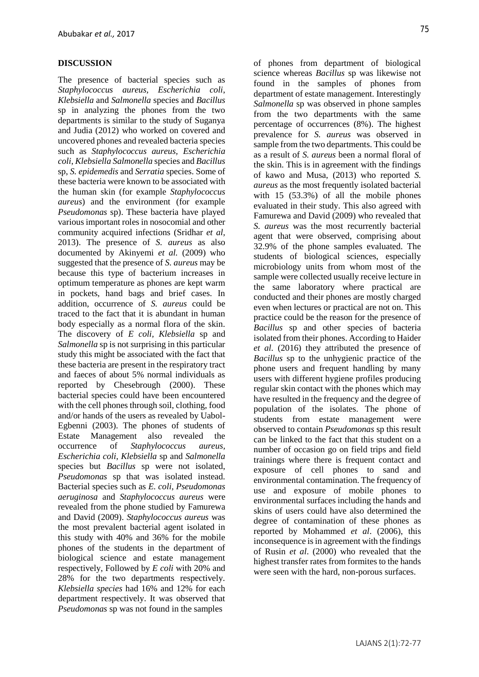#### **DISCUSSION**

The presence of bacterial species such as *Staphylococcus aureus, Escherichia coli*, *Klebsiella* and *Salmonella* species and *Bacillus*  sp in analyzing the phones from the two departments is similar to the study of Suganya and Judia (2012) who worked on covered and uncovered phones and revealed bacteria species such as *Staphylococcus aureus, Escherichia coli*, *Klebsiella Salmonella* species and *Bacillus*  sp, *S. epidemedis* and *Serratia* species. Some of these bacteria were known to be associated with the human skin (for example *Staphylococcus aureus*) and the environment (for example *Pseudomonas* sp). These bacteria have played various important roles in nosocomial and other community acquired infections (Sridhar *et al,* 2013). The presence of *S. aureus* as also documented by Akinyemi *et al.* (2009) who suggested that the presence of *S. aureus* may be because this type of bacterium increases in optimum temperature as phones are kept warm in pockets, hand bags and brief cases. In addition, occurrence of *S. aureus* could be traced to the fact that it is abundant in human body especially as a normal flora of the skin. The discovery of *E coli, Klebsiella* sp and *Salmonella* sp is not surprising in this particular study this might be associated with the fact that these bacteria are present in the respiratory tract and faeces of about 5% normal individuals as reported by Chesebrough (2000). These bacterial species could have been encountered with the cell phones through soil, clothing, food and/or hands of the users as revealed by Uabol-Egbenni (2003). The phones of students of Estate Management also revealed the occurrence of *Staphylococcus aureus, Escherichia coli*, *Klebsiella* sp and *Salmonella*  species but *Bacillus* sp were not isolated, *Pseudomonas* sp that was isolated instead. Bacterial species such as *E. coli*, *Pseudomonas aeruginosa* and *Staphylococcus aureus* were revealed from the phone studied by Famurewa and David (2009). *Staphylococcus aureus* was the most prevalent bacterial agent isolated in this study with 40% and 36% for the mobile phones of the students in the department of biological science and estate management respectively, Followed by *E coli* with 20% and 28% for the two departments respectively. *Klebsiella species* had 16% and 12% for each department respectively. It was observed that *Pseudomonas* sp was not found in the samples

of phones from department of biological science whereas *Bacillus* sp was likewise not found in the samples of phones from department of estate management. Interestingly *Salmonella* sp was observed in phone samples from the two departments with the same percentage of occurrences (8%). The highest prevalence for *S. aureus* was observed in sample from the two departments. This could be as a result of *S. aureus* been a normal floral of the skin. This is in agreement with the findings of kawo and Musa, (2013) who reported *S. aureus* as the most frequently isolated bacterial with 15 (53.3%) of all the mobile phones evaluated in their study. This also agreed with Famurewa and David (2009) who revealed that *S. aureus* was the most recurrently bacterial agent that were observed, comprising about 32.9% of the phone samples evaluated. The students of biological sciences, especially microbiology units from whom most of the sample were collected usually receive lecture in the same laboratory where practical are conducted and their phones are mostly charged even when lectures or practical are not on. This practice could be the reason for the presence of *Bacillus* sp and other species of bacteria isolated from their phones. According to Haider *et al.* (2016) they attributed the presence of *Bacillus* sp to the unhygienic practice of the phone users and frequent handling by many users with different hygiene profiles producing regular skin contact with the phones which may have resulted in the frequency and the degree of population of the isolates. The phone of students from estate management were observed to contain *Pseudomonas* sp this result can be linked to the fact that this student on a number of occasion go on field trips and field trainings where there is frequent contact and exposure of cell phones to sand and environmental contamination. The frequency of use and exposure of mobile phones to environmental surfaces including the hands and skins of users could have also determined the degree of contamination of these phones as reported by Mohammed *et al*. (2006), this inconsequence is in agreement with the findings of Rusin *et al*. (2000) who revealed that the highest transfer rates from formites to the hands were seen with the hard, non-porous surfaces.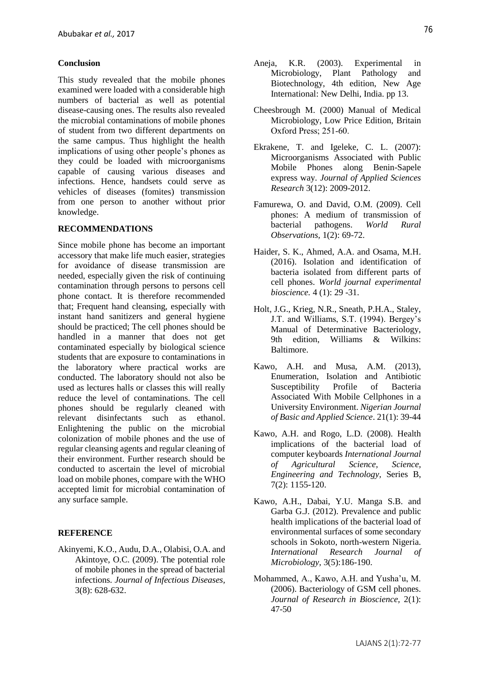#### **Conclusion**

This study revealed that the mobile phones examined were loaded with a considerable high numbers of bacterial as well as potential disease-causing ones. The results also revealed the microbial contaminations of mobile phones of student from two different departments on the same campus. Thus highlight the health implications of using other people's phones as they could be loaded with microorganisms capable of causing various diseases and infections. Hence, handsets could serve as vehicles of diseases (fomites) transmission from one person to another without prior knowledge.

#### **RECOMMENDATIONS**

Since mobile phone has become an important accessory that make life much easier, strategies for avoidance of disease transmission are needed, especially given the risk of continuing contamination through persons to persons cell phone contact. It is therefore recommended that; Frequent hand cleansing, especially with instant hand sanitizers and general hygiene should be practiced; The cell phones should be handled in a manner that does not get contaminated especially by biological science students that are exposure to contaminations in the laboratory where practical works are conducted. The laboratory should not also be used as lectures halls or classes this will really reduce the level of contaminations. The cell phones should be regularly cleaned with relevant disinfectants such as ethanol. Enlightening the public on the microbial colonization of mobile phones and the use of regular cleansing agents and regular cleaning of their environment. Further research should be conducted to ascertain the level of microbial load on mobile phones, compare with the WHO accepted limit for microbial contamination of any surface sample.

#### **REFERENCE**

Akinyemi, K.O., Audu, D.A., Olabisi, O.A. and Akintoye, O.C. (2009). The potential role of mobile phones in the spread of bacterial infections. *Journal of Infectious Diseases,*  3(8): 628-632.

- Aneja, K.R. (2003). Experimental in Microbiology, Plant Pathology and Biotechnology, 4th edition, New Age International: New Delhi, India. pp 13.
- Cheesbrough M. (2000) Manual of Medical Microbiology, Low Price Edition, Britain Oxford Press; 251‐60.
- Ekrakene, T. and Igeleke, C. L. (2007): Microorganisms Associated with Public Mobile Phones along Benin-Sapele express way. *Journal of Applied Sciences Research* 3(12): 2009-2012.
- Famurewa, O. and David, O.M. (2009). Cell phones: A medium of transmission of bacterial pathogens. *World Rural Observations,* 1(2): 69-72.
- Haider, S. K., Ahmed, A.A. and Osama, M.H. (2016). Isolation and identification of bacteria isolated from different parts of cell phones. *World journal experimental bioscience.* 4 (1): 29 -31.
- Holt, J.G., Krieg, N.R., Sneath, P.H.A., Staley, J.T. and Williams, S.T. (1994). Bergey's Manual of Determinative Bacteriology, 9th edition, Williams & Wilkins: Baltimore.
- Kawo, A.H. and Musa, A.M. (2013), Enumeration, Isolation and Antibiotic Susceptibility Profile of Bacteria Associated With Mobile Cellphones in a University Environment. *Nigerian Journal of Basic and Applied Science*. 21(1): 39-44
- Kawo, A.H. and Rogo, L.D. (2008). Health implications of the bacterial load of computer keyboards *International Journal of Agricultural Science, Science, Engineering and Technology,* Series B, 7(2): 1155-120.
- Kawo, A.H., Dabai, Y.U. Manga S.B. and Garba G.J. (2012). Prevalence and public health implications of the bacterial load of environmental surfaces of some secondary schools in Sokoto, north-western Nigeria. *International Research Journal of Microbiology,* 3(5):186-190.
- Mohammed, A., Kawo, A.H. and Yusha'u, M. (2006). Bacteriology of GSM cell phones. *Journal of Research in Bioscience,* 2(1): 47-50